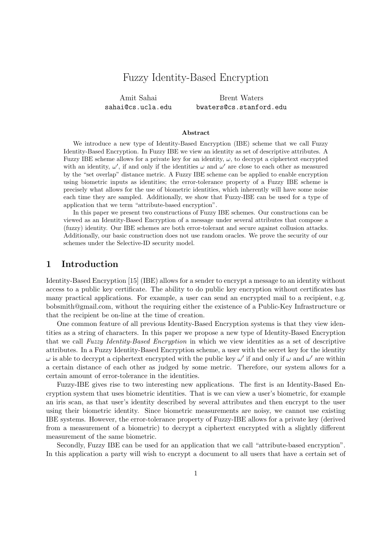# Fuzzy Identity-Based Encryption

Amit Sahai sahai@cs.ucla.edu

Brent Waters bwaters@cs.stanford.edu

#### Abstract

We introduce a new type of Identity-Based Encryption (IBE) scheme that we call Fuzzy Identity-Based Encryption. In Fuzzy IBE we view an identity as set of descriptive attributes. A Fuzzy IBE scheme allows for a private key for an identity,  $\omega$ , to decrypt a ciphertext encrypted with an identity,  $\omega'$ , if and only if the identities  $\omega$  and  $\omega'$  are close to each other as measured by the "set overlap" distance metric. A Fuzzy IBE scheme can be applied to enable encryption using biometric inputs as identities; the error-tolerance property of a Fuzzy IBE scheme is precisely what allows for the use of biometric identities, which inherently will have some noise each time they are sampled. Additionally, we show that Fuzzy-IBE can be used for a type of application that we term "attribute-based encryption".

In this paper we present two constructions of Fuzzy IBE schemes. Our constructions can be viewed as an Identity-Based Encryption of a message under several attributes that compose a (fuzzy) identity. Our IBE schemes are both error-tolerant and secure against collusion attacks. Additionally, our basic construction does not use random oracles. We prove the security of our schemes under the Selective-ID security model.

### 1 Introduction

Identity-Based Encryption [15] (IBE) allows for a sender to encrypt a message to an identity without access to a public key certificate. The ability to do public key encryption without certificates has many practical applications. For example, a user can send an encrypted mail to a recipient, e.g. bobsmith@gmail.com, without the requiring either the existence of a Public-Key Infrastructure or that the recipient be on-line at the time of creation.

One common feature of all previous Identity-Based Encryption systems is that they view identities as a string of characters. In this paper we propose a new type of Identity-Based Encryption that we call Fuzzy Identity-Based Encryption in which we view identities as a set of descriptive attributes. In a Fuzzy Identity-Based Encryption scheme, a user with the secret key for the identity  $ω$  is able to decrypt a ciphertext encrypted with the public key  $ω'$  if and only if  $ω$  and  $ω'$  are within a certain distance of each other as judged by some metric. Therefore, our system allows for a certain amount of error-tolerance in the identities.

Fuzzy-IBE gives rise to two interesting new applications. The first is an Identity-Based Encryption system that uses biometric identities. That is we can view a user's biometric, for example an iris scan, as that user's identity described by several attributes and then encrypt to the user using their biometric identity. Since biometric measurements are noisy, we cannot use existing IBE systems. However, the error-tolerance property of Fuzzy-IBE allows for a private key (derived from a measurement of a biometric) to decrypt a ciphertext encrypted with a slightly different measurement of the same biometric.

Secondly, Fuzzy IBE can be used for an application that we call "attribute-based encryption". In this application a party will wish to encrypt a document to all users that have a certain set of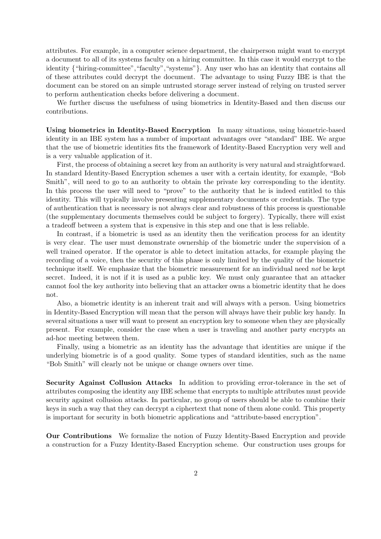attributes. For example, in a computer science department, the chairperson might want to encrypt a document to all of its systems faculty on a hiring committee. In this case it would encrypt to the identity {"hiring-committee", "faculty", "systems"}. Any user who has an identity that contains all of these attributes could decrypt the document. The advantage to using Fuzzy IBE is that the document can be stored on an simple untrusted storage server instead of relying on trusted server to perform authentication checks before delivering a document.

We further discuss the usefulness of using biometrics in Identity-Based and then discuss our contributions.

Using biometrics in Identity-Based Encryption In many situations, using biometric-based identity in an IBE system has a number of important advantages over "standard" IBE. We argue that the use of biometric identities fits the framework of Identity-Based Encryption very well and is a very valuable application of it.

First, the process of obtaining a secret key from an authority is very natural and straightforward. In standard Identity-Based Encryption schemes a user with a certain identity, for example, "Bob Smith", will need to go to an authority to obtain the private key corresponding to the identity. In this process the user will need to "prove" to the authority that he is indeed entitled to this identity. This will typically involve presenting supplementary documents or credentials. The type of authentication that is necessary is not always clear and robustness of this process is questionable (the supplementary documents themselves could be subject to forgery). Typically, there will exist a tradeoff between a system that is expensive in this step and one that is less reliable.

In contrast, if a biometric is used as an identity then the verification process for an identity is very clear. The user must demonstrate ownership of the biometric under the supervision of a well trained operator. If the operator is able to detect imitation attacks, for example playing the recording of a voice, then the security of this phase is only limited by the quality of the biometric technique itself. We emphasize that the biometric measurement for an individual need not be kept secret. Indeed, it is not if it is used as a public key. We must only guarantee that an attacker cannot fool the key authority into believing that an attacker owns a biometric identity that he does not.

Also, a biometric identity is an inherent trait and will always with a person. Using biometrics in Identity-Based Encryption will mean that the person will always have their public key handy. In several situations a user will want to present an encryption key to someone when they are physically present. For example, consider the case when a user is traveling and another party encrypts an ad-hoc meeting between them.

Finally, using a biometric as an identity has the advantage that identities are unique if the underlying biometric is of a good quality. Some types of standard identities, such as the name "Bob Smith" will clearly not be unique or change owners over time.

Security Against Collusion Attacks In addition to providing error-tolerance in the set of attributes composing the identity any IBE scheme that encrypts to multiple attributes must provide security against collusion attacks. In particular, no group of users should be able to combine their keys in such a way that they can decrypt a ciphertext that none of them alone could. This property is important for security in both biometric applications and "attribute-based encryption".

Our Contributions We formalize the notion of Fuzzy Identity-Based Encryption and provide a construction for a Fuzzy Identity-Based Encryption scheme. Our construction uses groups for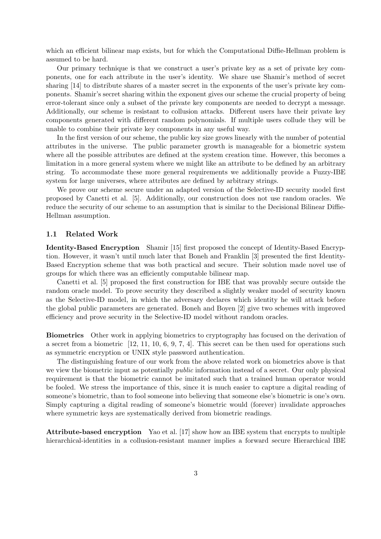which an efficient bilinear map exists, but for which the Computational Diffie-Hellman problem is assumed to be hard.

Our primary technique is that we construct a user's private key as a set of private key components, one for each attribute in the user's identity. We share use Shamir's method of secret sharing [14] to distribute shares of a master secret in the exponents of the user's private key components. Shamir's secret sharing within the exponent gives our scheme the crucial property of being error-tolerant since only a subset of the private key components are needed to decrypt a message. Additionally, our scheme is resistant to collusion attacks. Different users have their private key components generated with different random polynomials. If multiple users collude they will be unable to combine their private key components in any useful way.

In the first version of our scheme, the public key size grows linearly with the number of potential attributes in the universe. The public parameter growth is manageable for a biometric system where all the possible attributes are defined at the system creation time. However, this becomes a limitation in a more general system where we might like an attribute to be defined by an arbitrary string. To accommodate these more general requirements we additionally provide a Fuzzy-IBE system for large universes, where attributes are defined by arbitrary strings.

We prove our scheme secure under an adapted version of the Selective-ID security model first proposed by Canetti et al. [5]. Additionally, our construction does not use random oracles. We reduce the security of our scheme to an assumption that is similar to the Decisional Bilinear Diffie-Hellman assumption.

### 1.1 Related Work

Identity-Based Encryption Shamir [15] first proposed the concept of Identity-Based Encryption. However, it wasn't until much later that Boneh and Franklin [3] presented the first Identity-Based Encryption scheme that was both practical and secure. Their solution made novel use of groups for which there was an efficiently computable bilinear map.

Canetti et al. [5] proposed the first construction for IBE that was provably secure outside the random oracle model. To prove security they described a slightly weaker model of security known as the Selective-ID model, in which the adversary declares which identity he will attack before the global public parameters are generated. Boneh and Boyen [2] give two schemes with improved efficiency and prove security in the Selective-ID model without random oracles.

Biometrics Other work in applying biometrics to cryptography has focused on the derivation of a secret from a biometric  $[12, 11, 10, 6, 9, 7, 4]$ . This secret can be then used for operations such as symmetric encryption or UNIX style password authentication.

The distinguishing feature of our work from the above related work on biometrics above is that we view the biometric input as potentially *public* information instead of a secret. Our only physical requirement is that the biometric cannot be imitated such that a trained human operator would be fooled. We stress the importance of this, since it is much easier to capture a digital reading of someone's biometric, than to fool someone into believing that someone else's biometric is one's own. Simply capturing a digital reading of someone's biometric would (forever) invalidate approaches where symmetric keys are systematically derived from biometric readings.

Attribute-based encryption Yao et al. [17] show how an IBE system that encrypts to multiple hierarchical-identities in a collusion-resistant manner implies a forward secure Hierarchical IBE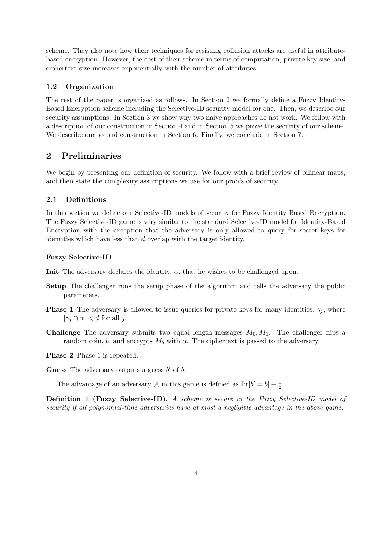scheme. They also note how their techniques for resisting collusion attacks are useful in attributebased encryption. However, the cost of their scheme in terms of computation, private key size, and ciphertext size increases exponentially with the number of attributes.

### 1.2 Organization

The rest of the paper is organized as follows. In Section 2 we formally define a Fuzzy Identity-Based Encryption scheme including the Selective-ID security model for one. Then, we describe our security assumptions. In Section 3 we show why two naive approaches do not work. We follow with a description of our construction in Section 4 and in Section 5 we prove the security of our scheme. We describe our second construction in Section 6. Finally, we conclude in Section 7.

# 2 Preliminaries

We begin by presenting our definition of security. We follow with a brief review of bilinear maps, and then state the complexity assumptions we use for our proofs of security.

### 2.1 Definitions

In this section we define our Selective-ID models of security for Fuzzy Identity Based Encryption. The Fuzzy Selective-ID game is very similar to the standard Selective-ID model for Identity-Based Encryption with the exception that the adversary is only allowed to query for secret keys for identities which have less than d overlap with the target identity.

### Fuzzy Selective-ID

Init The adversary declares the identity,  $\alpha$ , that he wishes to be challenged upon.

- Setup The challenger runs the setup phase of the algorithm and tells the adversary the public parameters.
- **Phase 1** The adversary is allowed to issue queries for private keys for many identities,  $\gamma_i$ , where  $|\gamma_i \cap \alpha| < d$  for all j.
- **Challenge** The adversary submits two equal length messages  $M_0, M_1$ . The challenger flips a random coin, b, and encrypts  $M_b$  with  $\alpha$ . The ciphertext is passed to the adversary.

Phase 2 Phase 1 is repeated.

**Guess** The adversary outputs a guess  $b'$  of  $b$ .

The advantage of an adversary A in this game is defined as  $Pr[b' = b] - \frac{1}{2}$  $rac{1}{2}$ .

Definition 1 (Fuzzy Selective-ID). A scheme is secure in the Fuzzy Selective-ID model of security if all polynomial-time adversaries have at most a negligible advantage in the above game.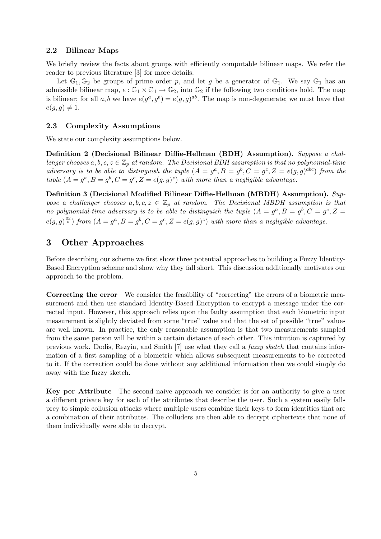#### 2.2 Bilinear Maps

We briefly review the facts about groups with efficiently computable bilinear maps. We refer the reader to previous literature [3] for more details.

Let  $\mathbb{G}_1, \mathbb{G}_2$  be groups of prime order p, and let g be a generator of  $\mathbb{G}_1$ . We say  $\mathbb{G}_1$  has an admissible bilinear map,  $e : \mathbb{G}_1 \times \mathbb{G}_1 \to \mathbb{G}_2$ , into  $\mathbb{G}_2$  if the following two conditions hold. The map is bilinear; for all a, b we have  $e(g^a, g^b) = e(g, g)^{ab}$ . The map is non-degenerate; we must have that  $e(q, q) \neq 1.$ 

#### 2.3 Complexity Assumptions

We state our complexity assumptions below.

Definition 2 (Decisional Bilinear Diffie-Hellman (BDH) Assumption). Suppose a challenger chooses  $a, b, c, z \in \mathbb{Z}_p$  at random. The Decisional BDH assumption is that no polynomial-time adversary is to be able to distinguish the tuple  $(A = g^a, B = g^b, C = g^c, Z = e(g, g)^{abc}$  from the tuple  $(A = g^a, B = g^b, C = g^c, Z = e(g, g)^z)$  with more than a negligible advantage.

Definition 3 (Decisional Modified Bilinear Diffie-Hellman (MBDH) Assumption). Suppose a challenger chooses  $a, b, c, z \in \mathbb{Z}_p$  at random. The Decisional MBDH assumption is that no polynomial-time adversary is to be able to distinguish the tuple  $(A = g^a, B = g^b, C = g^c, Z = g^c, Z = g^c, Z = g^c, Z = g^c, Z = g^c, Z = g^c, Z = g^c, Z = g^c, Z = g^c, Z = g^c, Z = g^c, Z = g^c, Z = g^c, Z = g^c, Z = g^c, Z = g^c, Z = g^c, Z = g^c, Z = g^c, Z = g^c, Z = g^c, Z = g^c, Z =$  $e(g,g)^{\frac{ab}{c}}$  from  $(A = g^a, B = g^b, C = g^c, Z = e(g,g)^z)$  with more than a negligible advantage.

# 3 Other Approaches

Before describing our scheme we first show three potential approaches to building a Fuzzy Identity-Based Encryption scheme and show why they fall short. This discussion additionally motivates our approach to the problem.

Correcting the error We consider the feasibility of "correcting" the errors of a biometric measurement and then use standard Identity-Based Encryption to encrypt a message under the corrected input. However, this approach relies upon the faulty assumption that each biometric input measurement is slightly deviated from some "true" value and that the set of possible "true" values are well known. In practice, the only reasonable assumption is that two measurements sampled from the same person will be within a certain distance of each other. This intuition is captured by previous work. Dodis, Rezyin, and Smith [7] use what they call a fuzzy sketch that contains information of a first sampling of a biometric which allows subsequent measurements to be corrected to it. If the correction could be done without any additional information then we could simply do away with the fuzzy sketch.

Key per Attribute The second naive approach we consider is for an authority to give a user a different private key for each of the attributes that describe the user. Such a system easily falls prey to simple collusion attacks where multiple users combine their keys to form identities that are a combination of their attributes. The colluders are then able to decrypt ciphertexts that none of them individually were able to decrypt.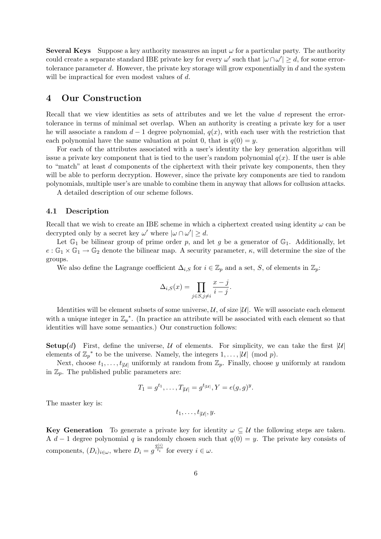**Several Keys** Suppose a key authority measures an input  $\omega$  for a particular party. The authority could create a separate standard IBE private key for every  $\omega'$  such that  $|\omega \cap \omega'| \ge d$ , for some errortolerance parameter d. However, the private key storage will grow exponentially in  $d$  and the system will be impractical for even modest values of d.

# 4 Our Construction

Recall that we view identities as sets of attributes and we let the value d represent the errortolerance in terms of minimal set overlap. When an authority is creating a private key for a user he will associate a random  $d-1$  degree polynomial,  $q(x)$ , with each user with the restriction that each polynomial have the same valuation at point 0, that is  $q(0) = y$ .

For each of the attributes associated with a user's identity the key generation algorithm will issue a private key component that is tied to the user's random polynomial  $q(x)$ . If the user is able to "match" at least d components of the ciphertext with their private key components, then they will be able to perform decryption. However, since the private key components are tied to random polynomials, multiple user's are unable to combine them in anyway that allows for collusion attacks.

A detailed description of our scheme follows.

#### 4.1 Description

Recall that we wish to create an IBE scheme in which a ciphertext created using identity  $\omega$  can be decrypted only by a secret key  $\omega'$  where  $|\omega \cap \omega'| \geq d$ .

Let  $\mathbb{G}_1$  be bilinear group of prime order p, and let g be a generator of  $\mathbb{G}_1$ . Additionally, let  $e:\mathbb{G}_1\times\mathbb{G}_1\to\mathbb{G}_2$  denote the bilinear map. A security parameter,  $\kappa$ , will determine the size of the groups.

We also define the Lagrange coefficient  $\Delta_{i,S}$  for  $i \in \mathbb{Z}_p$  and a set, S, of elements in  $\mathbb{Z}_p$ :

$$
\Delta_{i,S}(x) = \prod_{j \in S, j \neq i} \frac{x - j}{i - j}.
$$

Identities will be element subsets of some universe,  $\mathcal{U}$ , of size  $|\mathcal{U}|$ . We will associate each element with a unique integer in  $\mathbb{Z}_p^*$ . (In practice an attribute will be associated with each element so that identities will have some semantics.) Our construction follows:

**Setup**(d) First, define the universe, U of elements. For simplicity, we can take the first  $|U|$ elements of  $\mathbb{Z}_p^*$  to be the universe. Namely, the integers  $1, \ldots, |\mathcal{U}| \pmod{p}$ .

Next, choose  $t_1, \ldots, t_{|\mathcal{U}|}$  uniformly at random from  $\mathbb{Z}_p$ . Finally, choose y uniformly at random in  $\mathbb{Z}_p$ . The published public parameters are:

$$
T_1 = g^{t_1}, \dots, T_{|\mathcal{U}|} = g^{t_{|\mathcal{U}|}}, Y = e(g, g)^y.
$$

The master key is:

 $t_1, \ldots, t_{|\mathcal{U}|}, y.$ 

Key Generation To generate a private key for identity  $\omega \subseteq U$  the following steps are taken. A d − 1 degree polynomial q is randomly chosen such that  $q(0) = y$ . The private key consists of components,  $(D_i)_{i \in \omega}$ , where  $D_i = g^{\frac{q(i)}{t_i}}$  for every  $i \in \omega$ .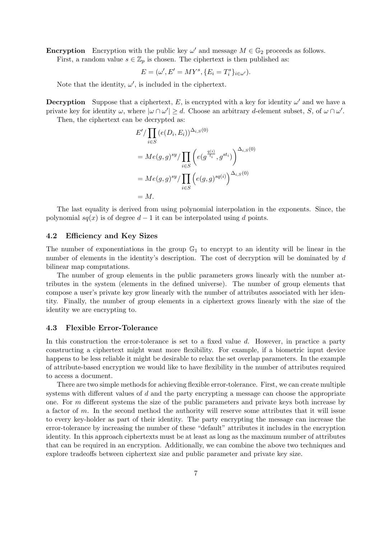**Encryption** Encryption with the public key  $\omega'$  and message  $M \in \mathbb{G}_2$  proceeds as follows. First, a random value  $s \in \mathbb{Z}_p$  is chosen. The ciphertext is then published as:

$$
E=(\omega',E'=MY^s,\{E_i=T_i^s\}_{i\in\omega'}).
$$

Note that the identity,  $\omega'$ , is included in the ciphertext.

**Decryption** Suppose that a ciphertext, E, is encrypted with a key for identity  $\omega'$  and we have a private key for identity  $\omega$ , where  $|\omega \cap \omega'| \geq d$ . Choose an arbitrary d-element subset, S, of  $\omega \cap \omega'$ .

Then, the ciphertext can be decrypted as:

$$
E'/\prod_{i \in S} (e(D_i, E_i))^{\Delta_{i,S}(0)}
$$
  
= 
$$
Me(g, g)^{sy}/\prod_{i \in S} \left(e(g^{\frac{q(i)}{t_i}}, g^{st_i})\right)^{\Delta_{i,S}(0)}
$$
  
= 
$$
Me(g, g)^{sy}/\prod_{i \in S} \left(e(g, g)^{sq(i)}\right)^{\Delta_{i,S}(0)}
$$
  
= 
$$
M.
$$

The last equality is derived from using polynomial interpolation in the exponents. Since, the polynomial  $sq(x)$  is of degree  $d-1$  it can be interpolated using d points.

### 4.2 Efficiency and Key Sizes

The number of exponentiations in the group  $\mathbb{G}_1$  to encrypt to an identity will be linear in the number of elements in the identity's description. The cost of decryption will be dominated by d bilinear map computations.

The number of group elements in the public parameters grows linearly with the number attributes in the system (elements in the defined universe). The number of group elements that compose a user's private key grow linearly with the number of attributes associated with her identity. Finally, the number of group elements in a ciphertext grows linearly with the size of the identity we are encrypting to.

#### 4.3 Flexible Error-Tolerance

In this construction the error-tolerance is set to a fixed value  $d$ . However, in practice a party constructing a ciphertext might want more flexibility. For example, if a biometric input device happens to be less reliable it might be desirable to relax the set overlap parameters. In the example of attribute-based encryption we would like to have flexibility in the number of attributes required to access a document.

There are two simple methods for achieving flexible error-tolerance. First, we can create multiple systems with different values of  $d$  and the party encrypting a message can choose the appropriate one. For m different systems the size of the public parameters and private keys both increase by a factor of m. In the second method the authority will reserve some attributes that it will issue to every key-holder as part of their identity. The party encrypting the message can increase the error-tolerance by increasing the number of these "default" attributes it includes in the encryption identity. In this approach ciphertexts must be at least as long as the maximum number of attributes that can be required in an encryption. Additionally, we can combine the above two techniques and explore tradeoffs between ciphertext size and public parameter and private key size.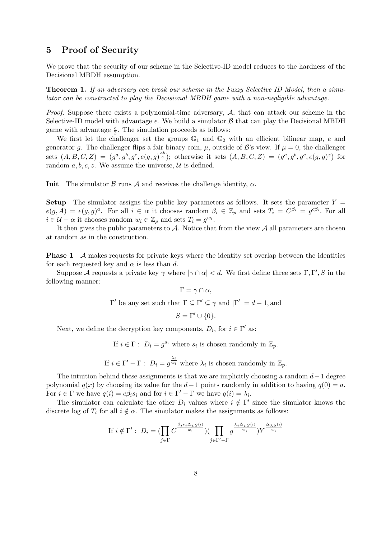### 5 Proof of Security

We prove that the security of our scheme in the Selective-ID model reduces to the hardness of the Decisional MBDH assumption.

Theorem 1. If an adversary can break our scheme in the Fuzzy Selective ID Model, then a simulator can be constructed to play the Decisional MBDH game with a non-negligible advantage.

*Proof.* Suppose there exists a polynomial-time adversary,  $A$ , that can attack our scheme in the Selective-ID model with advantage  $\epsilon$ . We build a simulator  $\beta$  that can play the Decisional MBDH game with advantage  $\frac{\epsilon}{2}$ . The simulation proceeds as follows:

We first let the challenger set the groups  $\mathbb{G}_1$  and  $\mathbb{G}_2$  with an efficient bilinear map, e and generator g. The challenger flips a fair binary coin,  $\mu$ , outside of  $\mathcal{B}$ 's view. If  $\mu = 0$ , the challenger sets  $(A, B, C, Z) = (g^a, g^b, g^c, e(g, g)^{\frac{ab}{c}})$ ; otherwise it sets  $(A, B, C, Z) = (g^a, g^b, g^c, e(g, g)^z)$  for random  $a, b, c, z$ . We assume the universe,  $U$  is defined.

**Init** The simulator  $\beta$  runs  $\mathcal A$  and receives the challenge identity,  $\alpha$ .

**Setup** The simulator assigns the public key parameters as follows. It sets the parameter  $Y =$  $e(g, A) = e(g, g)^a$ . For all  $i \in \alpha$  it chooses random  $\beta_i \in \mathbb{Z}_p$  and sets  $T_i = C^{\beta_i} = g^{c\beta_i}$ . For all  $i \in \mathcal{U} - \alpha$  it chooses random  $w_i \in \mathbb{Z}_p$  and sets  $T_i = g^{w_i}$ .

It then gives the public parameters to  $A$ . Notice that from the view  $A$  all parameters are chosen at random as in the construction.

**Phase 1** A makes requests for private keys where the identity set overlap between the identities for each requested key and  $\alpha$  is less than d.

Suppose A requests a private key  $\gamma$  where  $|\gamma \cap \alpha| < d$ . We first define three sets  $\Gamma, \Gamma', S$  in the following manner:

$$
\Gamma = \gamma \cap \alpha,
$$
  

$$
\Gamma' \text{ be any set such that } \Gamma \subseteq \Gamma' \subseteq \gamma \text{ and } |\Gamma'| = d - 1, \text{and}
$$
  

$$
S = \Gamma' \cup \{0\}.
$$

Next, we define the decryption key components,  $D_i$ , for  $i \in \Gamma'$  as:

If  $i \in \Gamma$ :  $D_i = g^{s_i}$  where  $s_i$  is chosen randomly in  $\mathbb{Z}_p$ .

If  $i \in \Gamma' - \Gamma : D_i = g^{\frac{\lambda_i}{w_i}}$  where  $\lambda_i$  is chosen randomly in  $\mathbb{Z}_p$ .

The intuition behind these assignments is that we are implicitly choosing a random  $d-1$  degree polynomial  $q(x)$  by choosing its value for the  $d-1$  points randomly in addition to having  $q(0) = a$ . For  $i \in \Gamma$  we have  $q(i) = c\beta_i s_i$  and for  $i \in \Gamma' - \Gamma$  we have  $q(i) = \lambda_i$ .

The simulator can calculate the other  $D_i$  values where  $i \notin \Gamma'$  since the simulator knows the discrete log of  $T_i$  for all  $i \notin \alpha$ . The simulator makes the assignments as follows:

If 
$$
i \notin \Gamma'
$$
:  $D_i = (\prod_{j \in \Gamma} C \frac{\beta_j s_j \Delta_{j,S}(i)}{w_i}) (\prod_{j \in \Gamma' - \Gamma} g \frac{\lambda_j \Delta_{j,S}(i)}{w_i}) Y^{\frac{\Delta_{0,S}(i)}{w_i}}$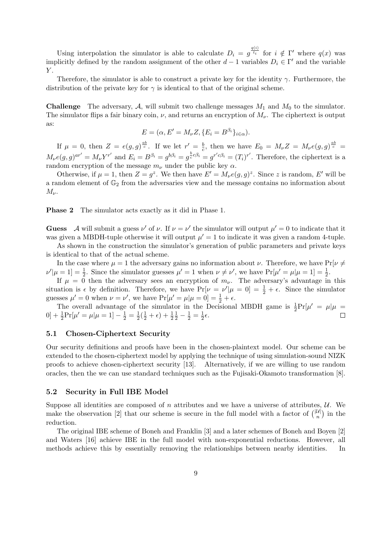Using interpolation the simulator is able to calculate  $D_i = g^{\frac{q(i)}{t_i}}$  for  $i \notin \Gamma'$  where  $q(x)$  was implicitly defined by the random assignment of the other  $d-1$  variables  $D_i \in \Gamma'$  and the variable  $Y$ .

Therefore, the simulator is able to construct a private key for the identity  $\gamma$ . Furthermore, the distribution of the private key for  $\gamma$  is identical to that of the original scheme.

**Challenge** The adversary,  $A$ , will submit two challenge messages  $M_1$  and  $M_0$  to the simulator. The simulator flips a fair binary coin,  $\nu$ , and returns an encryption of  $M_{\nu}$ . The ciphertext is output as:

$$
E = (\alpha, E' = M_{\nu}Z, \{E_i = B^{\beta_i}\}_{i \in \alpha}).
$$

If  $\mu = 0$ , then  $Z = e(g, g)^{\frac{ab}{c}}$ . If we let  $r' = \frac{b}{c}$  $\frac{b}{c}$ , then we have  $E_0 = M_{\nu}Z = M_{\nu}e(g,g)^{\frac{ab}{c}} =$  $M_{\nu}e(g,g)^{ar'} = M_{\nu}Y^{r'}$  and  $E_i = B^{\beta_i} = g^{\beta_i} = g^{\frac{b}{c}\beta_i} = g^{r'c\beta_i} = (T_i)^{r'}$ . Therefore, the ciphertext is a random encryption of the message  $m_{\nu}$  under the public key  $\alpha$ .

Otherwise, if  $\mu = 1$ , then  $Z = g^z$ . We then have  $E' = M_{\nu}e(g, g)^z$ . Since z is random, E' will be a random element of  $\mathbb{G}_2$  from the adversaries view and the message contains no information about  $M_{\nu}$ .

Phase 2 The simulator acts exactly as it did in Phase 1.

Guess A will submit a guess  $\nu'$  of  $\nu$ . If  $\nu = \nu'$  the simulator will output  $\mu' = 0$  to indicate that it was given a MBDH-tuple otherwise it will output  $\mu' = 1$  to indicate it was given a random 4-tuple.

As shown in the construction the simulator's generation of public parameters and private keys is identical to that of the actual scheme.

In the case where  $\mu = 1$  the adversary gains no information about  $\nu$ . Therefore, we have Pr[ $\nu \neq$  $\nu'|\mu=1]=\frac{1}{2}$ . Since the simulator guesses  $\mu'=1$  when  $\nu\neq\nu'$ , we have  $\Pr[\mu'=\mu|\mu=1]=\frac{1}{2}$ .

If  $\mu = 0$  then the adversary sees an encryption of  $m_{\nu}$ . The adversary's advantage in this situation is  $\epsilon$  by definition. Therefore, we have  $\Pr[\nu = \nu' | \mu = 0] = \frac{1}{2} + \epsilon$ . Since the simulator guesses  $\mu' = 0$  when  $\nu = \nu'$ , we have  $\Pr[\mu' = \mu | \mu = 0] = \frac{1}{2} + \epsilon$ .

The overall advantage of the simulator in the Decisional MBDH game is  $\frac{1}{2} Pr[\mu' = \mu | \mu =$  $0] + \frac{1}{2} Pr[\mu' = \mu | \mu = 1] - \frac{1}{2} = \frac{1}{2}$  $\frac{1}{2}(\frac{1}{2} + \epsilon) + \frac{1}{2}$  $\frac{1}{2} - \frac{1}{2} = \frac{1}{2}$  $rac{1}{2}\epsilon$ .  $\Box$ 

#### 5.1 Chosen-Ciphertext Security

Our security definitions and proofs have been in the chosen-plaintext model. Our scheme can be extended to the chosen-ciphertext model by applying the technique of using simulation-sound NIZK proofs to achieve chosen-ciphertext security [13]. Alternatively, if we are willing to use random oracles, then the we can use standard techniques such as the Fujisaki-Okamoto transformation [8].

#### 5.2 Security in Full IBE Model

Suppose all identities are composed of n attributes and we have a universe of attributes,  $U$ . We make the observation [2] that our scheme is secure in the full model with a factor of  $\binom{|\mathcal{U}|}{n}$  $\binom{u}{n}$  in the reduction.

The original IBE scheme of Boneh and Franklin [3] and a later schemes of Boneh and Boyen [2] and Waters [16] achieve IBE in the full model with non-exponential reductions. However, all methods achieve this by essentially removing the relationships between nearby identities. In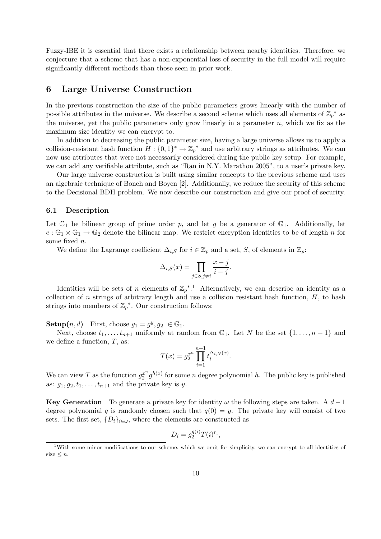Fuzzy-IBE it is essential that there exists a relationship between nearby identities. Therefore, we conjecture that a scheme that has a non-exponential loss of security in the full model will require significantly different methods than those seen in prior work.

### 6 Large Universe Construction

In the previous construction the size of the public parameters grows linearly with the number of possible attributes in the universe. We describe a second scheme which uses all elements of  $\mathbb{Z}_p^*$  as the universe, yet the public parameters only grow linearly in a parameter  $n$ , which we fix as the maximum size identity we can encrypt to.

In addition to decreasing the public parameter size, having a large universe allows us to apply a collision-resistant hash function  $H: \{0,1\}^* \to \mathbb{Z}_p^*$  and use arbitrary strings as attributes. We can now use attributes that were not necessarily considered during the public key setup. For example, we can add any verifiable attribute, such as "Ran in N.Y. Marathon 2005", to a user's private key.

Our large universe construction is built using similar concepts to the previous scheme and uses an algebraic technique of Boneh and Boyen [2]. Additionally, we reduce the security of this scheme to the Decisional BDH problem. We now describe our construction and give our proof of security.

#### 6.1 Description

Let  $\mathbb{G}_1$  be bilinear group of prime order p, and let g be a generator of  $\mathbb{G}_1$ . Additionally, let  $e:\mathbb{G}_1\times\mathbb{G}_1\to\mathbb{G}_2$  denote the bilinear map. We restrict encryption identities to be of length n for some fixed n.

We define the Lagrange coefficient  $\Delta_{i,S}$  for  $i \in \mathbb{Z}_p$  and a set, S, of elements in  $\mathbb{Z}_p$ :

$$
\Delta_{i,S}(x) = \prod_{j \in S, j \neq i} \frac{x - j}{i - j}.
$$

Identities will be sets of n elements of  $\mathbb{Z}_p^*$ .<sup>1</sup> Alternatively, we can describe an identity as a collection of n strings of arbitrary length and use a collision resistant hash function,  $H$ , to hash strings into members of  $\mathbb{Z}_p^*$ . Our construction follows:

**Setup** $(n, d)$  First, choose  $g_1 = g^y, g_2 \in \mathbb{G}_1$ .

Next, choose  $t_1, \ldots, t_{n+1}$  uniformly at random from  $\mathbb{G}_1$ . Let N be the set  $\{1, \ldots, n+1\}$  and we define a function,  $T$ , as:

$$
T(x) = g_2^{x^n} \prod_{i=1}^{n+1} t_i^{\Delta_{i,N}(x)}.
$$

We can view T as the function  $g_2^{x^n}$  $z^{n}$   $g^{h(x)}$  for some *n* degree polynomial *h*. The public key is published as:  $g_1, g_2, t_1, \ldots, t_{n+1}$  and the private key is y.

Key Generation To generate a private key for identity  $\omega$  the following steps are taken. A  $d-1$ degree polynomial q is randomly chosen such that  $q(0) = y$ . The private key will consist of two sets. The first set,  $\{D_i\}_{i\in\omega}$ , where the elements are constructed as

$$
D_i = g_2^{q(i)} T(i)^{r_i},
$$

<sup>1</sup>With some minor modifications to our scheme, which we omit for simplicity, we can encrypt to all identities of size  $\leq n$ .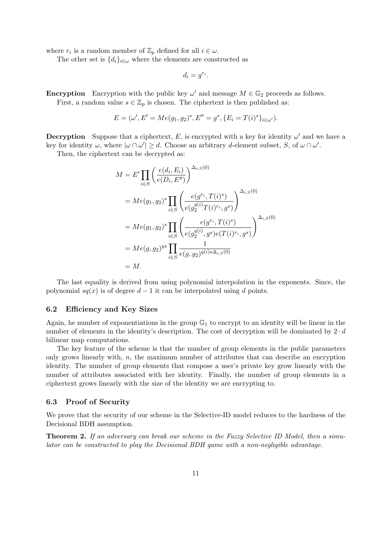where  $r_i$  is a random member of  $\mathbb{Z}_p$  defined for all  $i \in \omega$ .

The other set is  $\{d_i\}_{i\in\omega}$  where the elements are constructed as

$$
d_i = g^{r_i}.
$$

**Encryption** Encryption with the public key  $\omega'$  and message  $M \in \mathbb{G}_2$  proceeds as follows.

First, a random value  $s \in \mathbb{Z}_p$  is chosen. The ciphertext is then published as:

$$
E = (\omega', E' = Me(g_1, g_2)^s, E'' = g^s, \{E_i = T(i)^s\}_{i \in \omega'}).
$$

**Decryption** Suppose that a ciphertext, E, is encrypted with a key for identity  $\omega'$  and we have a key for identity  $\omega$ , where  $|\omega \cap \omega'| \geq d$ . Choose an arbitrary d-element subset, S, of  $\omega \cap \omega'$ .

Then, the ciphertext can be decrypted as:

$$
M = E' \prod_{i \in S} \left( \frac{e(d_i, E_i)}{e(D_i, E'')}\right)^{\Delta_{i,S}(0)}
$$
  
= 
$$
Me(g_1, g_2)^s \prod_{i \in S} \left( \frac{e(g^{r_i}, T(i)^s)}{e(g_2^{q(i)}T(i)^{r_i}, g^s)} \right)^{\Delta_{i,S}(0)}
$$
  
= 
$$
Me(g_1, g_2)^s \prod_{i \in S} \left( \frac{e(g^{r_i}, T(i)^s)}{e(g_2^{q(i)}, g^s)e(T(i)^{r_i}, g^s)} \right)^{\Delta_{i,S}(0)}
$$
  
= 
$$
Me(g, g_2)^{ys} \prod_{i \in S} \frac{1}{e(g, g_2)^{q(i)s\Delta_{i,S}(0)}}
$$
  
= 
$$
M.
$$

The last equality is derived from using polynomial interpolation in the exponents. Since, the polynomial  $sq(x)$  is of degree  $d-1$  it can be interpolated using d points.

#### 6.2 Efficiency and Key Sizes

Again, he number of exponentiations in the group  $\mathbb{G}_1$  to encrypt to an identity will be linear in the number of elements in the identity's description. The cost of decryption will be dominated by  $2 \cdot d$ bilinear map computations.

The key feature of the scheme is that the number of group elements in the public parameters only grows linearly with,  $n$ , the maximum number of attributes that can describe an encryption identity. The number of group elements that compose a user's private key grow linearly with the number of attributes associated with her identity. Finally, the number of group elements in a ciphertext grows linearly with the size of the identity we are encrypting to.

#### 6.3 Proof of Security

We prove that the security of our scheme in the Selective-ID model reduces to the hardness of the Decisional BDH assumption.

**Theorem 2.** If an adversary can break our scheme in the Fuzzy Selective ID Model, then a simulator can be constructed to play the Decisional BDH game with a non-negligible advantage.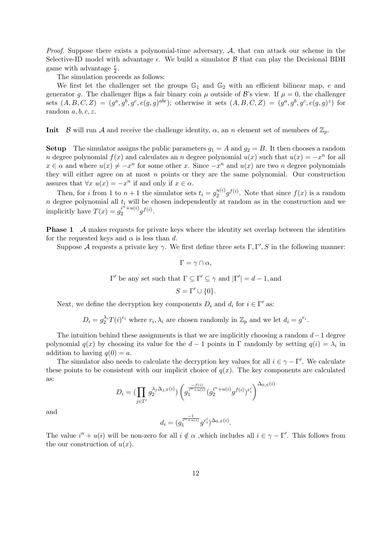*Proof.* Suppose there exists a polynomial-time adversary,  $A$ , that can attack our scheme in the Selective-ID model with advantage  $\epsilon$ . We build a simulator  $\beta$  that can play the Decisional BDH game with advantage  $\frac{\epsilon}{2}$ .

The simulation proceeds as follows:

We first let the challenger set the groups  $\mathbb{G}_1$  and  $\mathbb{G}_2$  with an efficient bilinear map, e and generator g. The challenger flips a fair binary coin  $\mu$  outside of  $\mathcal{B}$ 's view. If  $\mu = 0$ , the challenger sets  $(A, B, C, Z) = (g^a, g^b, g^c, e(g, g)^{abc})$ ; otherwise it sets  $(A, B, C, Z) = (g^a, g^b, g^c, e(g, g)^z)$  for random  $a, b, c, z$ .

**Init** B will run A and receive the challenge identity,  $\alpha$ , an n element set of members of  $\mathbb{Z}_p$ .

**Setup** The simulator assigns the public parameters  $g_1 = A$  and  $g_2 = B$ . It then chooses a random n degree polynomial  $f(x)$  and calculates an n degree polynomial  $u(x)$  such that  $u(x) = -x^n$  for all  $x \in \alpha$  and where  $u(x) \neq -x^n$  for some other x. Since  $-x^n$  and  $u(x)$  are two n degree polynomials they will either agree on at most  $n$  points or they are the same polynomial. Our construction assures that  $\forall x \ u(x) = -x^n$  if and only if  $x \in \alpha$ .

Then, for *i* from 1 to  $n + 1$  the simulator sets  $t_i = g_2^{u(i)}$  $j_2^{u(i)}g^{f(i)}$ . Note that since  $f(x)$  is a random  $n$  degree polynomial all  $t_i$  will be chosen independently at random as in the construction and we implicitly have  $T(x) = g_2^{i^n + u(i)}$  $x^{i+u(i)}g^{f(i)}$ .

**Phase 1** A makes requests for private keys where the identity set overlap between the identities for the requested keys and  $\alpha$  is less than d.

Suppose A requests a private key  $\gamma$ . We first define three sets  $\Gamma, \Gamma', S$  in the following manner:

$$
\Gamma = \gamma \cap \alpha,
$$

 $Γ'$  be any set such that  $Γ ⊆ Γ' ⊆ γ$  and  $|Γ'| = d - 1$ , and

$$
S = \Gamma' \cup \{0\}.
$$

Next, we define the decryption key components  $D_i$  and  $d_i$  for  $i \in \Gamma'$  as:

 $D_i = g_2^{\lambda_i} T(i)^{r_i}$  where  $r_i, \lambda_i$  are chosen randomly in  $\mathbb{Z}_p$  and we let  $d_i = g^{r_i}$ .

The intuition behind these assignments is that we are implicitly choosing a random  $d-1$  degree polynomial  $q(x)$  by choosing its value for the  $d-1$  points in  $\Gamma$  randomly by setting  $q(i) = \lambda_i$  in addition to having  $q(0) = a$ .

The simulator also needs to calculate the decryption key values for all  $i \in \gamma - \Gamma'$ . We calculate these points to be consistent with our implicit choice of  $q(x)$ . The key components are calculated as:

$$
D_i = \left(\prod_{j \in \Gamma'} g_2^{\lambda_j \Delta_{j,S}(i)}\right) \left(g_1^{\frac{-f(i)}{i^{n+u(i)}}}(g_2^{i^{n}+u(i)}g^{f(i)})^{r'_i}\right)^{\Delta_{0,S}(i)}
$$

and

$$
d_i = (g_1^{\frac{-1}{i^{n+u(i)}}} g^{r'_i})^{\Delta_{0,S}(i)}.
$$

The value  $i^{n} + u(i)$  will be non-zero for all  $i \notin \alpha$ , which includes all  $i \in \gamma - \Gamma'$ . This follows from the our construction of  $u(x)$ .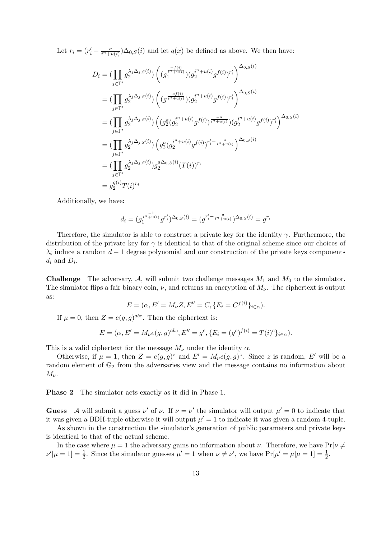Let  $r_i = (r_i' - \frac{a}{i^n + u(i)})\Delta_{0,S}(i)$  and let  $q(x)$  be defined as above. We then have:

$$
D_{i} = (\prod_{j \in \Gamma'} g_{2}^{\lambda_{j} \Delta_{j,S}(i)}) \left( (g_{1}^{\frac{-f(i)}{i n + u(i)}})(g_{2}^{i n + u(i)} g^{f(i)})^{r'_{i}} \right)^{\Delta_{0,S}(i)}
$$
  
\n
$$
= (\prod_{j \in \Gamma'} g_{2}^{\lambda_{j} \Delta_{j,S}(i)}) \left( (g_{1}^{\frac{-a f(i)}{i n + u(i)}})(g_{2}^{i n + u(i)} g^{f(i)})^{r'_{i}} \right)^{\Delta_{0,S}(i)}
$$
  
\n
$$
= (\prod_{j \in \Gamma'} g_{2}^{\lambda_{j} \Delta_{j,S}(i)}) \left( (g_{2}^{a} (g_{2}^{i^{n} + u(i)} g^{f(i)})^{\frac{-a}{i n + u(i)}})(g_{2}^{i n + u(i)} g^{f(i)})^{r'_{i}} \right)^{\Delta_{0,S}(i)}
$$
  
\n
$$
= (\prod_{j \in \Gamma'} g_{2}^{\lambda_{j} \Delta_{j,S}(i)}) \left( g_{2}^{a} (g_{2}^{i n + u(i)} g^{f(i)})^{r'_{i} - \frac{a}{i n + u(i)}} \right)^{\Delta_{0,S}(i)}
$$
  
\n
$$
= (\prod_{j \in \Gamma'} g_{2}^{\lambda_{j} \Delta_{j,S}(i)}) g_{2}^{a \Delta_{0,S}(i)} (T(i))^{r_{i}}
$$
  
\n
$$
= g_{2}^{q(i)} T(i)^{r_{i}}
$$

Additionally, we have:

$$
d_i = (g_1^{\frac{-1}{i^n + u(i)}} g^{r'_i})^{\Delta_{0,S}(i)} = (g^{r'_i - \frac{a}{i^n + u(i)}})^{\Delta_{0,S}(i)} = g^{r_i}
$$

Therefore, the simulator is able to construct a private key for the identity  $\gamma$ . Furthermore, the distribution of the private key for  $\gamma$  is identical to that of the original scheme since our choices of  $\lambda_i$  induce a random  $d-1$  degree polynomial and our construction of the private keys components  $d_i$  and  $D_i$ .

**Challenge** The adversary, A, will submit two challenge messages  $M_1$  and  $M_0$  to the simulator. The simulator flips a fair binary coin,  $\nu$ , and returns an encryption of  $M_{\nu}$ . The ciphertext is output as:

$$
E = (\alpha, E' = M_{\nu}Z, E'' = C, \{E_i = C^{f(i)}\}_{i \in \alpha}).
$$

If  $\mu = 0$ , then  $Z = e(g, g)^{abc}$ . Then the ciphertext is:

$$
E = (\alpha, E' = M_{\nu}e(g, g)^{abc}, E'' = g^c, \{E_i = (g^c)^{f(i)} = T(i)^c\}_{i \in \alpha}).
$$

This is a valid ciphertext for the message  $M_{\nu}$  under the identity  $\alpha$ .

Otherwise, if  $\mu = 1$ , then  $Z = e(g, g)^z$  and  $E' = M_{\nu}e(g, g)^z$ . Since z is random, E' will be a random element of  $\mathbb{G}_2$  from the adversaries view and the message contains no information about  $M_{\nu}$ .

Phase 2 The simulator acts exactly as it did in Phase 1.

Guess A will submit a guess  $\nu'$  of  $\nu$ . If  $\nu = \nu'$  the simulator will output  $\mu' = 0$  to indicate that it was given a BDH-tuple otherwise it will output  $\mu' = 1$  to indicate it was given a random 4-tuple.

As shown in the construction the simulator's generation of public parameters and private keys is identical to that of the actual scheme.

In the case where  $\mu = 1$  the adversary gains no information about  $\nu$ . Therefore, we have Pr[ $\nu \neq$  $\nu'|\mu=1]=\frac{1}{2}$ . Since the simulator guesses  $\mu'=1$  when  $\nu\neq\nu'$ , we have  $\Pr[\mu'=\mu|\mu=1]=\frac{1}{2}$ .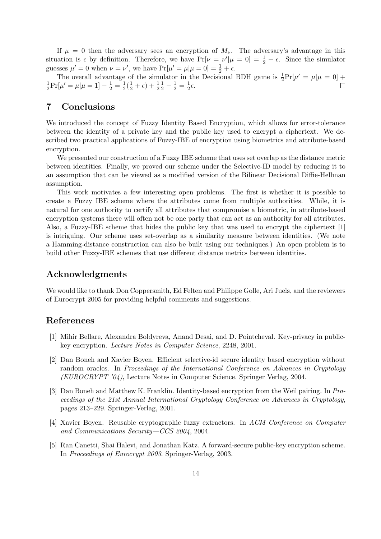If  $\mu = 0$  then the adversary sees an encryption of  $M_{\nu}$ . The adversary's advantage in this situation is  $\epsilon$  by definition. Therefore, we have  $\Pr[\nu = \nu' | \mu = 0] = \frac{1}{2} + \epsilon$ . Since the simulator guesses  $\mu' = 0$  when  $\nu = \nu'$ , we have  $\Pr[\mu' = \mu | \mu = 0] = \frac{1}{2} + \epsilon$ .

The overall advantage of the simulator in the Decisional BDH game is  $\frac{1}{2} Pr[\mu' = \mu | \mu = 0] +$ 1  $\frac{1}{2}Pr[\mu' = \mu | \mu = 1] - \frac{1}{2} = \frac{1}{2}$  $\frac{1}{2}(\frac{1}{2} + \epsilon) + \frac{1}{2}$  $\frac{1}{2} - \frac{1}{2} = \frac{1}{2}$  $rac{1}{2}\epsilon$ .

# 7 Conclusions

We introduced the concept of Fuzzy Identity Based Encryption, which allows for error-tolerance between the identity of a private key and the public key used to encrypt a ciphertext. We described two practical applications of Fuzzy-IBE of encryption using biometrics and attribute-based encryption.

We presented our construction of a Fuzzy IBE scheme that uses set overlap as the distance metric between identities. Finally, we proved our scheme under the Selective-ID model by reducing it to an assumption that can be viewed as a modified version of the Bilinear Decisional Diffie-Hellman assumption.

This work motivates a few interesting open problems. The first is whether it is possible to create a Fuzzy IBE scheme where the attributes come from multiple authorities. While, it is natural for one authority to certify all attributes that compromise a biometric, in attribute-based encryption systems there will often not be one party that can act as an authority for all attributes. Also, a Fuzzy-IBE scheme that hides the public key that was used to encrypt the ciphertext [1] is intriguing. Our scheme uses set-overlap as a similarity measure between identities. (We note a Hamming-distance construction can also be built using our techniques.) An open problem is to build other Fuzzy-IBE schemes that use different distance metrics between identities.

### Acknowledgments

We would like to thank Don Coppersmith, Ed Felten and Philippe Golle, Ari Juels, and the reviewers of Eurocrypt 2005 for providing helpful comments and suggestions.

# References

- [1] Mihir Bellare, Alexandra Boldyreva, Anand Desai, and D. Pointcheval. Key-privacy in publickey encryption. Lecture Notes in Computer Science, 2248, 2001.
- [2] Dan Boneh and Xavier Boyen. Efficient selective-id secure identity based encryption without random oracles. In Proceedings of the International Conference on Advances in Cryptology  $(EUROCRYPT'04)$ , Lecture Notes in Computer Science. Springer Verlag, 2004.
- [3] Dan Boneh and Matthew K. Franklin. Identity-based encryption from the Weil pairing. In Proceedings of the 21st Annual International Cryptology Conference on Advances in Cryptology, pages 213–229. Springer-Verlag, 2001.
- [4] Xavier Boyen. Reusable cryptographic fuzzy extractors. In ACM Conference on Computer and Communications Security—CCS 2004, 2004.
- [5] Ran Canetti, Shai Halevi, and Jonathan Katz. A forward-secure public-key encryption scheme. In Proceedings of Eurocrypt 2003. Springer-Verlag, 2003.